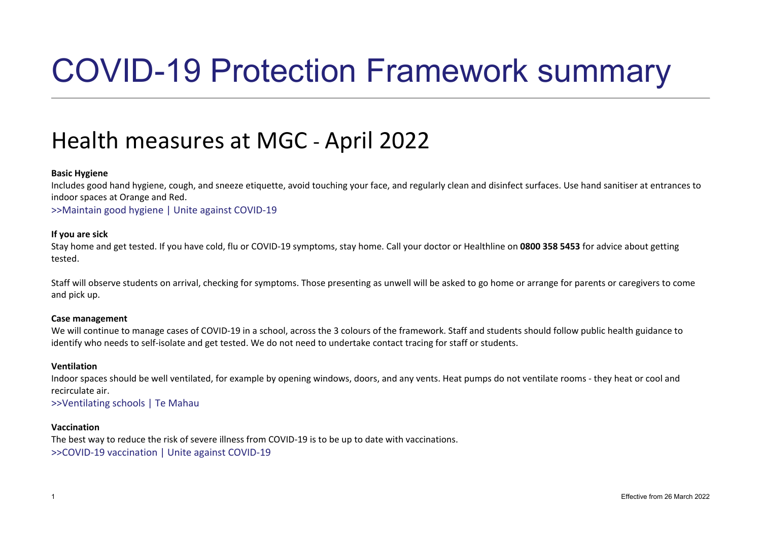# COVID-19 Protection Framework summary

### Health measures at MGC - April 2022

#### **Basic Hygiene**

Includes good hand hygiene, cough, and sneeze etiquette, avoid touching your face, and regularly clean and disinfect surfaces. Use hand sanitiser at entrances to indoor spaces at Orange and Red.

[>>Maintain good hygiene | Unite against COVID-19](https://covid19.govt.nz/health-and-wellbeing/protect-yourself-and-others-from-covid-19/maintain-good-hygiene/)

#### **If you are sick**

Stay home and get tested. If you have cold, flu or COVID-19 symptoms, stay home. Call your doctor or Healthline on **0800 358 5453** for advice about getting tested.

Staff will observe students on arrival, checking for symptoms. Those presenting as unwell will be asked to go home or arrange for parents or caregivers to come and pick up.

#### **Case management**

We will continue to manage cases of COVID-19 in a school, across the 3 colours of the framework. Staff and students should follow public health guidance to identify who needs to self-isolate and get tested. We do not need to undertake contact tracing for staff or students.

#### **Ventilation**

Indoor spaces should be well ventilated, for example by opening windows, doors, and any vents. Heat pumps do not ventilate rooms - they heat or cool and recirculate air.

#### [>>Ventilating schools | Te Mahau](https://temahau.govt.nz/covid-19/advice-schools-and-kura/ventilation-schools)

#### **Vaccination**

The best way to reduce the risk of severe illness from COVID-19 is to be up to date with vaccinations. [>>COVID-19 vaccination | Unite against COVID-19](https://covid19.govt.nz/covid-19-vaccines/how-to-get-a-covid-19-vaccination/)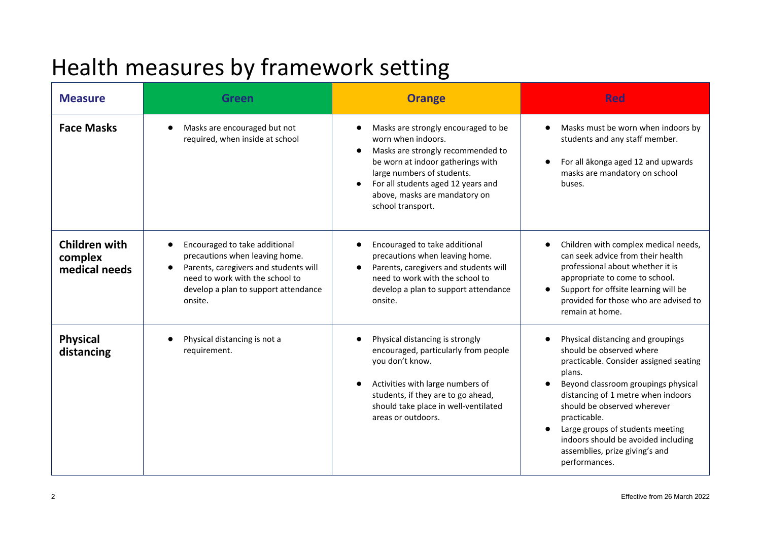## Health measures by framework setting

| <b>Measure</b>                                   | Green                                                                                                                                                                                          | <b>Orange</b>                                                                                                                                                                                                                                                 | <b>Red</b>                                                                                                                                                                                                                                                                                                                                                                                            |
|--------------------------------------------------|------------------------------------------------------------------------------------------------------------------------------------------------------------------------------------------------|---------------------------------------------------------------------------------------------------------------------------------------------------------------------------------------------------------------------------------------------------------------|-------------------------------------------------------------------------------------------------------------------------------------------------------------------------------------------------------------------------------------------------------------------------------------------------------------------------------------------------------------------------------------------------------|
| <b>Face Masks</b>                                | Masks are encouraged but not<br>required, when inside at school                                                                                                                                | Masks are strongly encouraged to be<br>worn when indoors.<br>Masks are strongly recommended to<br>be worn at indoor gatherings with<br>large numbers of students.<br>For all students aged 12 years and<br>above, masks are mandatory on<br>school transport. | Masks must be worn when indoors by<br>$\bullet$<br>students and any staff member.<br>For all ākonga aged 12 and upwards<br>$\bullet$<br>masks are mandatory on school<br>buses.                                                                                                                                                                                                                       |
| <b>Children with</b><br>complex<br>medical needs | Encouraged to take additional<br>precautions when leaving home.<br>Parents, caregivers and students will<br>need to work with the school to<br>develop a plan to support attendance<br>onsite. | Encouraged to take additional<br>precautions when leaving home.<br>Parents, caregivers and students will<br>need to work with the school to<br>develop a plan to support attendance<br>onsite.                                                                | Children with complex medical needs,<br>$\bullet$<br>can seek advice from their health<br>professional about whether it is<br>appropriate to come to school.<br>Support for offsite learning will be<br>$\bullet$<br>provided for those who are advised to<br>remain at home.                                                                                                                         |
| <b>Physical</b><br>distancing                    | Physical distancing is not a<br>requirement.                                                                                                                                                   | Physical distancing is strongly<br>encouraged, particularly from people<br>you don't know.<br>Activities with large numbers of<br>students, if they are to go ahead,<br>should take place in well-ventilated<br>areas or outdoors.                            | Physical distancing and groupings<br>$\bullet$<br>should be observed where<br>practicable. Consider assigned seating<br>plans.<br>Beyond classroom groupings physical<br>distancing of 1 metre when indoors<br>should be observed wherever<br>practicable.<br>Large groups of students meeting<br>$\bullet$<br>indoors should be avoided including<br>assemblies, prize giving's and<br>performances. |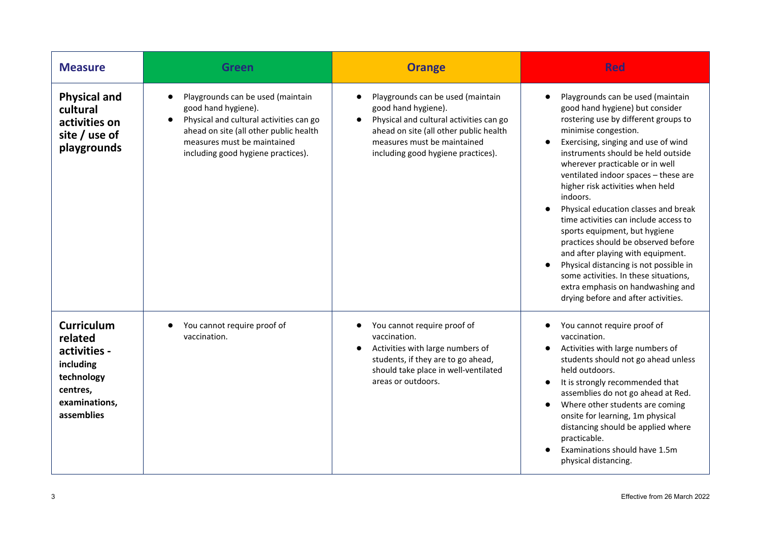| <b>Measure</b>                                                                                                     | <b>Green</b>                                                                                                                                                                                                                    | <b>Orange</b>                                                                                                                                                                                                                   | <b>Red</b>                                                                                                                                                                                                                                                                                                                                                                                                                                                                                                                                                                                                                                                                                                |
|--------------------------------------------------------------------------------------------------------------------|---------------------------------------------------------------------------------------------------------------------------------------------------------------------------------------------------------------------------------|---------------------------------------------------------------------------------------------------------------------------------------------------------------------------------------------------------------------------------|-----------------------------------------------------------------------------------------------------------------------------------------------------------------------------------------------------------------------------------------------------------------------------------------------------------------------------------------------------------------------------------------------------------------------------------------------------------------------------------------------------------------------------------------------------------------------------------------------------------------------------------------------------------------------------------------------------------|
| <b>Physical and</b><br>cultural<br>activities on<br>site / use of<br>playgrounds                                   | Playgrounds can be used (maintain<br>$\bullet$<br>good hand hygiene).<br>Physical and cultural activities can go<br>ahead on site (all other public health<br>measures must be maintained<br>including good hygiene practices). | Playgrounds can be used (maintain<br>good hand hygiene).<br>Physical and cultural activities can go<br>$\bullet$<br>ahead on site (all other public health<br>measures must be maintained<br>including good hygiene practices). | Playgrounds can be used (maintain<br>good hand hygiene) but consider<br>rostering use by different groups to<br>minimise congestion.<br>Exercising, singing and use of wind<br>instruments should be held outside<br>wherever practicable or in well<br>ventilated indoor spaces - these are<br>higher risk activities when held<br>indoors.<br>Physical education classes and break<br>time activities can include access to<br>sports equipment, but hygiene<br>practices should be observed before<br>and after playing with equipment.<br>Physical distancing is not possible in<br>some activities. In these situations,<br>extra emphasis on handwashing and<br>drying before and after activities. |
| <b>Curriculum</b><br>related<br>activities -<br>including<br>technology<br>centres,<br>examinations,<br>assemblies | You cannot require proof of<br>vaccination.                                                                                                                                                                                     | You cannot require proof of<br>vaccination.<br>Activities with large numbers of<br>students, if they are to go ahead,<br>should take place in well-ventilated<br>areas or outdoors.                                             | You cannot require proof of<br>vaccination.<br>Activities with large numbers of<br>students should not go ahead unless<br>held outdoors.<br>It is strongly recommended that<br>assemblies do not go ahead at Red.<br>Where other students are coming<br>onsite for learning, 1m physical<br>distancing should be applied where<br>practicable.<br>Examinations should have 1.5m<br>physical distancing.                                                                                                                                                                                                                                                                                                   |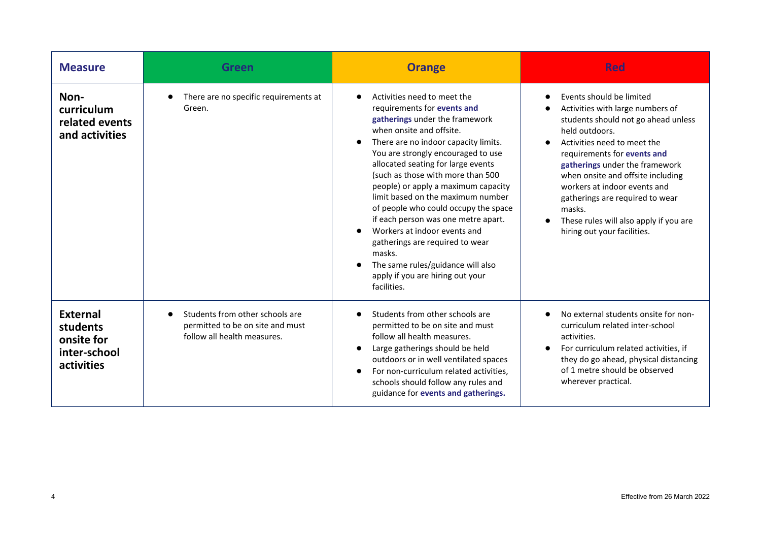| <b>Measure</b>                                                          | Green                                                                                                           | <b>Orange</b>                                                                                                                                                                                                                                                                                                                                                                                                                                                                                                                                                                                                     | <b>Red</b>                                                                                                                                                                                                                                                                                                                                                                                                       |
|-------------------------------------------------------------------------|-----------------------------------------------------------------------------------------------------------------|-------------------------------------------------------------------------------------------------------------------------------------------------------------------------------------------------------------------------------------------------------------------------------------------------------------------------------------------------------------------------------------------------------------------------------------------------------------------------------------------------------------------------------------------------------------------------------------------------------------------|------------------------------------------------------------------------------------------------------------------------------------------------------------------------------------------------------------------------------------------------------------------------------------------------------------------------------------------------------------------------------------------------------------------|
| Non-<br>curriculum<br>related events<br>and activities                  | There are no specific requirements at<br>Green.                                                                 | Activities need to meet the<br>requirements for events and<br>gatherings under the framework<br>when onsite and offsite.<br>There are no indoor capacity limits.<br>You are strongly encouraged to use<br>allocated seating for large events<br>(such as those with more than 500<br>people) or apply a maximum capacity<br>limit based on the maximum number<br>of people who could occupy the space<br>if each person was one metre apart.<br>Workers at indoor events and<br>gatherings are required to wear<br>masks.<br>The same rules/guidance will also<br>apply if you are hiring out your<br>facilities. | Events should be limited<br>Activities with large numbers of<br>students should not go ahead unless<br>held outdoors.<br>Activities need to meet the<br>requirements for events and<br>gatherings under the framework<br>when onsite and offsite including<br>workers at indoor events and<br>gatherings are required to wear<br>masks.<br>These rules will also apply if you are<br>hiring out your facilities. |
| <b>External</b><br>students<br>onsite for<br>inter-school<br>activities | Students from other schools are<br>$\bullet$<br>permitted to be on site and must<br>follow all health measures. | Students from other schools are<br>permitted to be on site and must<br>follow all health measures.<br>Large gatherings should be held<br>outdoors or in well ventilated spaces<br>For non-curriculum related activities,<br>schools should follow any rules and<br>guidance for events and gatherings.                                                                                                                                                                                                                                                                                                            | No external students onsite for non-<br>curriculum related inter-school<br>activities.<br>For curriculum related activities, if<br>$\bullet$<br>they do go ahead, physical distancing<br>of 1 metre should be observed<br>wherever practical.                                                                                                                                                                    |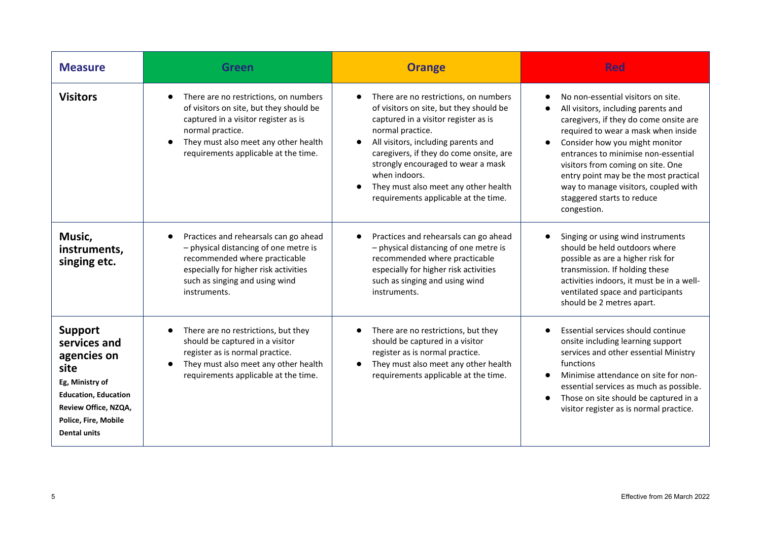| <b>Measure</b>                                                                                                                                                          | <b>Green</b>                                                                                                                                                                                                                              | <b>Orange</b>                                                                                                                                                                                                                                                                                                                                                         | <b>Red</b>                                                                                                                                                                                                                                                                                                                                                                                                          |
|-------------------------------------------------------------------------------------------------------------------------------------------------------------------------|-------------------------------------------------------------------------------------------------------------------------------------------------------------------------------------------------------------------------------------------|-----------------------------------------------------------------------------------------------------------------------------------------------------------------------------------------------------------------------------------------------------------------------------------------------------------------------------------------------------------------------|---------------------------------------------------------------------------------------------------------------------------------------------------------------------------------------------------------------------------------------------------------------------------------------------------------------------------------------------------------------------------------------------------------------------|
| <b>Visitors</b>                                                                                                                                                         | There are no restrictions, on numbers<br>$\bullet$<br>of visitors on site, but they should be<br>captured in a visitor register as is<br>normal practice.<br>They must also meet any other health<br>requirements applicable at the time. | There are no restrictions, on numbers<br>of visitors on site, but they should be<br>captured in a visitor register as is<br>normal practice.<br>All visitors, including parents and<br>caregivers, if they do come onsite, are<br>strongly encouraged to wear a mask<br>when indoors.<br>They must also meet any other health<br>requirements applicable at the time. | No non-essential visitors on site.<br>All visitors, including parents and<br>caregivers, if they do come onsite are<br>required to wear a mask when inside<br>Consider how you might monitor<br>$\bullet$<br>entrances to minimise non-essential<br>visitors from coming on site. One<br>entry point may be the most practical<br>way to manage visitors, coupled with<br>staggered starts to reduce<br>congestion. |
| Music,<br>instruments,<br>singing etc.                                                                                                                                  | Practices and rehearsals can go ahead<br>- physical distancing of one metre is<br>recommended where practicable<br>especially for higher risk activities<br>such as singing and using wind<br>instruments.                                | Practices and rehearsals can go ahead<br>- physical distancing of one metre is<br>recommended where practicable<br>especially for higher risk activities<br>such as singing and using wind<br>instruments.                                                                                                                                                            | Singing or using wind instruments<br>should be held outdoors where<br>possible as are a higher risk for<br>transmission. If holding these<br>activities indoors, it must be in a well-<br>ventilated space and participants<br>should be 2 metres apart.                                                                                                                                                            |
| <b>Support</b><br>services and<br>agencies on<br>site<br>Eg, Ministry of<br><b>Education, Education</b><br>Review Office, NZQA,<br>Police, Fire, Mobile<br>Dental units | There are no restrictions, but they<br>$\bullet$<br>should be captured in a visitor<br>register as is normal practice.<br>They must also meet any other health<br>$\bullet$<br>requirements applicable at the time.                       | There are no restrictions, but they<br>should be captured in a visitor<br>register as is normal practice.<br>They must also meet any other health<br>requirements applicable at the time.                                                                                                                                                                             | Essential services should continue<br>onsite including learning support<br>services and other essential Ministry<br>functions<br>Minimise attendance on site for non-<br>essential services as much as possible.<br>Those on site should be captured in a<br>visitor register as is normal practice.                                                                                                                |